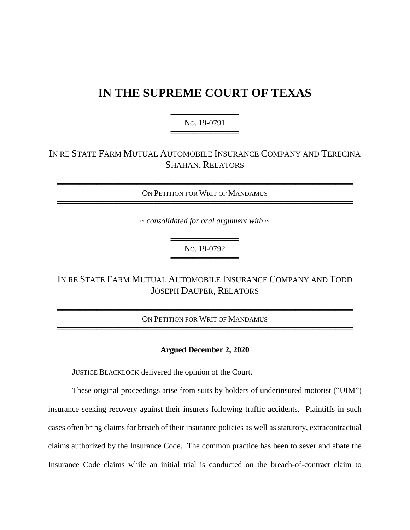# **IN THE SUPREME COURT OF TEXAS**

═════════════════════════════ NO. 19-0791 ═════════════════════════════

# IN RE STATE FARM MUTUAL AUTOMOBILE INSURANCE COMPANY AND TERECINA SHAHAN, RELATORS

════════════════════════════════════════════════════ ON PETITION FOR WRIT OF MANDAMUS ════════════════════════════════════════════════════

~ *consolidated for oral argument with ~*

════════════════════════ NO. 19-0792 ═════════════════════════════

IN RE STATE FARM MUTUAL AUTOMOBILE INSURANCE COMPANY AND TODD JOSEPH DAUPER, RELATORS

════════════════════════════════════════════════════ ON PETITION FOR WRIT OF MANDAMUS ════════════════════════════════════════════════════

#### **Argued December 2, 2020**

JUSTICE BLACKLOCK delivered the opinion of the Court.

These original proceedings arise from suits by holders of underinsured motorist ("UIM") insurance seeking recovery against their insurers following traffic accidents. Plaintiffs in such cases often bring claims for breach of their insurance policies as well as statutory, extracontractual claims authorized by the Insurance Code. The common practice has been to sever and abate the Insurance Code claims while an initial trial is conducted on the breach-of-contract claim to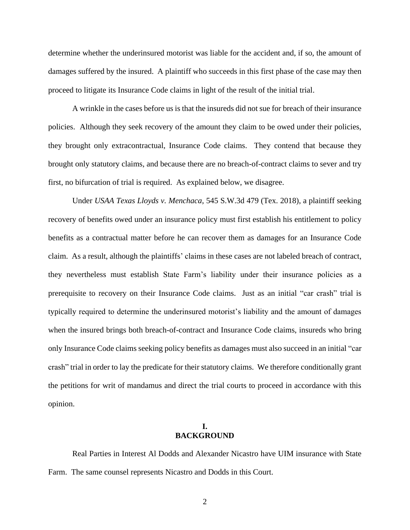determine whether the underinsured motorist was liable for the accident and, if so, the amount of damages suffered by the insured. A plaintiff who succeeds in this first phase of the case may then proceed to litigate its Insurance Code claims in light of the result of the initial trial.

A wrinkle in the cases before us is that the insureds did not sue for breach of their insurance policies. Although they seek recovery of the amount they claim to be owed under their policies, they brought only extracontractual, Insurance Code claims. They contend that because they brought only statutory claims, and because there are no breach-of-contract claims to sever and try first, no bifurcation of trial is required. As explained below, we disagree.

Under *USAA Texas Lloyds v. Menchaca*, 545 S.W.3d 479 (Tex. 2018), a plaintiff seeking recovery of benefits owed under an insurance policy must first establish his entitlement to policy benefits as a contractual matter before he can recover them as damages for an Insurance Code claim. As a result, although the plaintiffs' claims in these cases are not labeled breach of contract, they nevertheless must establish State Farm's liability under their insurance policies as a prerequisite to recovery on their Insurance Code claims. Just as an initial "car crash" trial is typically required to determine the underinsured motorist's liability and the amount of damages when the insured brings both breach-of-contract and Insurance Code claims, insureds who bring only Insurance Code claims seeking policy benefits as damages must also succeed in an initial "car crash" trial in order to lay the predicate for their statutory claims. We therefore conditionally grant the petitions for writ of mandamus and direct the trial courts to proceed in accordance with this opinion.

## **I. BACKGROUND**

Real Parties in Interest Al Dodds and Alexander Nicastro have UIM insurance with State Farm. The same counsel represents Nicastro and Dodds in this Court.

2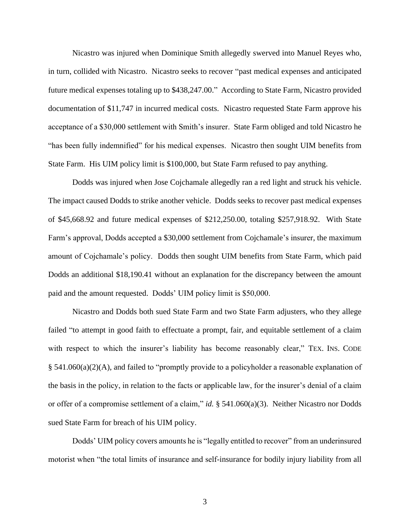Nicastro was injured when Dominique Smith allegedly swerved into Manuel Reyes who, in turn, collided with Nicastro. Nicastro seeks to recover "past medical expenses and anticipated future medical expenses totaling up to \$438,247.00." According to State Farm, Nicastro provided documentation of \$11,747 in incurred medical costs. Nicastro requested State Farm approve his acceptance of a \$30,000 settlement with Smith's insurer. State Farm obliged and told Nicastro he "has been fully indemnified" for his medical expenses. Nicastro then sought UIM benefits from State Farm. His UIM policy limit is \$100,000, but State Farm refused to pay anything.

Dodds was injured when Jose Cojchamale allegedly ran a red light and struck his vehicle. The impact caused Dodds to strike another vehicle. Dodds seeks to recover past medical expenses of \$45,668.92 and future medical expenses of \$212,250.00, totaling \$257,918.92. With State Farm's approval, Dodds accepted a \$30,000 settlement from Cojchamale's insurer, the maximum amount of Cojchamale's policy. Dodds then sought UIM benefits from State Farm, which paid Dodds an additional \$18,190.41 without an explanation for the discrepancy between the amount paid and the amount requested. Dodds' UIM policy limit is \$50,000.

Nicastro and Dodds both sued State Farm and two State Farm adjusters, who they allege failed "to attempt in good faith to effectuate a prompt, fair, and equitable settlement of a claim with respect to which the insurer's liability has become reasonably clear," TEX. INS. CODE § 541.060(a)(2)(A), and failed to "promptly provide to a policyholder a reasonable explanation of the basis in the policy, in relation to the facts or applicable law, for the insurer's denial of a claim or offer of a compromise settlement of a claim," *id.* § 541.060(a)(3). Neither Nicastro nor Dodds sued State Farm for breach of his UIM policy.

Dodds' UIM policy covers amounts he is "legally entitled to recover" from an underinsured motorist when "the total limits of insurance and self-insurance for bodily injury liability from all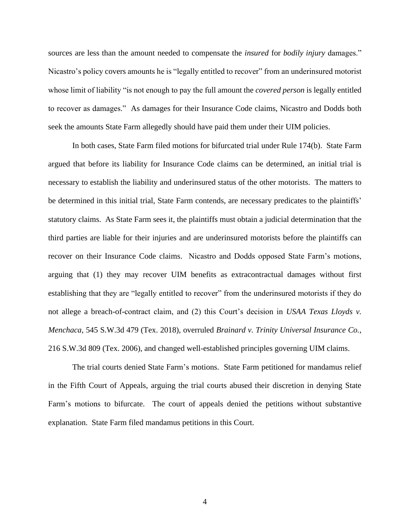sources are less than the amount needed to compensate the *insured* for *bodily injury* damages." Nicastro's policy covers amounts he is "legally entitled to recover" from an underinsured motorist whose limit of liability "is not enough to pay the full amount the *covered person* is legally entitled to recover as damages." As damages for their Insurance Code claims, Nicastro and Dodds both seek the amounts State Farm allegedly should have paid them under their UIM policies.

In both cases, State Farm filed motions for bifurcated trial under Rule 174(b). State Farm argued that before its liability for Insurance Code claims can be determined, an initial trial is necessary to establish the liability and underinsured status of the other motorists. The matters to be determined in this initial trial, State Farm contends, are necessary predicates to the plaintiffs' statutory claims. As State Farm sees it, the plaintiffs must obtain a judicial determination that the third parties are liable for their injuries and are underinsured motorists before the plaintiffs can recover on their Insurance Code claims. Nicastro and Dodds opposed State Farm's motions, arguing that (1) they may recover UIM benefits as extracontractual damages without first establishing that they are "legally entitled to recover" from the underinsured motorists if they do not allege a breach-of-contract claim, and (2) this Court's decision in *USAA Texas Lloyds v. Menchaca*, 545 S.W.3d 479 (Tex. 2018), overruled *Brainard v. Trinity Universal Insurance Co.*, 216 S.W.3d 809 (Tex. 2006), and changed well-established principles governing UIM claims.

The trial courts denied State Farm's motions. State Farm petitioned for mandamus relief in the Fifth Court of Appeals, arguing the trial courts abused their discretion in denying State Farm's motions to bifurcate. The court of appeals denied the petitions without substantive explanation. State Farm filed mandamus petitions in this Court.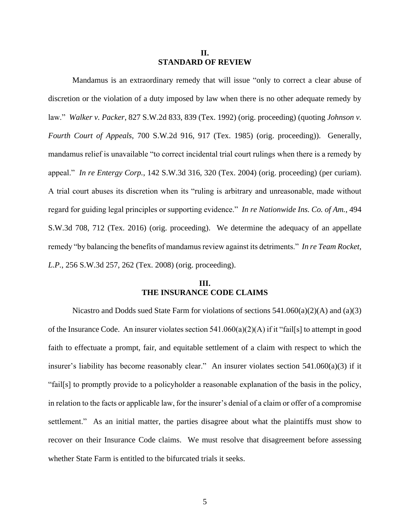#### **II. STANDARD OF REVIEW**

Mandamus is an extraordinary remedy that will issue "only to correct a clear abuse of discretion or the violation of a duty imposed by law when there is no other adequate remedy by law." *Walker v. Packer*, 827 S.W.2d 833, 839 (Tex. 1992) (orig. proceeding) (quoting *Johnson v. Fourth Court of Appeals*, 700 S.W.2d 916, 917 (Tex. 1985) (orig. proceeding)). Generally, mandamus relief is unavailable "to correct incidental trial court rulings when there is a remedy by appeal." *In re Entergy Corp.*, 142 S.W.3d 316, 320 (Tex. 2004) (orig. proceeding) (per curiam). A trial court abuses its discretion when its "ruling is arbitrary and unreasonable, made without regard for guiding legal principles or supporting evidence." *In re Nationwide Ins. Co. of Am.*, 494 S.W.3d 708, 712 (Tex. 2016) (orig. proceeding). We determine the adequacy of an appellate remedy "by balancing the benefits of mandamus review against its detriments." *In re Team Rocket, L.P.*, 256 S.W.3d 257, 262 (Tex. 2008) (orig. proceeding).

## **III. THE INSURANCE CODE CLAIMS**

Nicastro and Dodds sued State Farm for violations of sections  $541.060(a)(2)(A)$  and  $(a)(3)$ of the Insurance Code. An insurer violates section 541.060(a)(2)(A) if it "fail[s] to attempt in good faith to effectuate a prompt, fair, and equitable settlement of a claim with respect to which the insurer's liability has become reasonably clear." An insurer violates section 541.060(a)(3) if it "fail[s] to promptly provide to a policyholder a reasonable explanation of the basis in the policy, in relation to the facts or applicable law, for the insurer's denial of a claim or offer of a compromise settlement." As an initial matter, the parties disagree about what the plaintiffs must show to recover on their Insurance Code claims. We must resolve that disagreement before assessing whether State Farm is entitled to the bifurcated trials it seeks.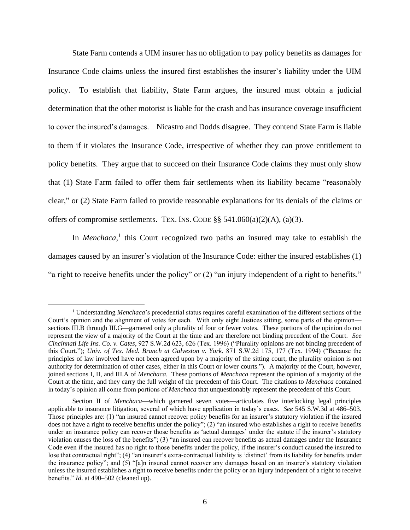State Farm contends a UIM insurer has no obligation to pay policy benefits as damages for Insurance Code claims unless the insured first establishes the insurer's liability under the UIM policy. To establish that liability, State Farm argues, the insured must obtain a judicial determination that the other motorist is liable for the crash and has insurance coverage insufficient to cover the insured's damages. Nicastro and Dodds disagree. They contend State Farm is liable to them if it violates the Insurance Code, irrespective of whether they can prove entitlement to policy benefits. They argue that to succeed on their Insurance Code claims they must only show that (1) State Farm failed to offer them fair settlements when its liability became "reasonably clear," or (2) State Farm failed to provide reasonable explanations for its denials of the claims or offers of compromise settlements. TEX. INS. CODE  $\S\S 541.060(a)(2)(A)$ , (a)(3).

In *Menchaca*,<sup>1</sup> this Court recognized two paths an insured may take to establish the damages caused by an insurer's violation of the Insurance Code: either the insured establishes (1) "a right to receive benefits under the policy" or (2) "an injury independent of a right to benefits."

<sup>1</sup> Understanding *Menchaca*'s precedential status requires careful examination of the different sections of the Court's opinion and the alignment of votes for each. With only eight Justices sitting, some parts of the opinion sections III.B through III.G—garnered only a plurality of four or fewer votes. These portions of the opinion do not represent the view of a majority of the Court at the time and are therefore not binding precedent of the Court. *See Cincinnati Life Ins. Co. v. Cates*, 927 S.W.2d 623, 626 (Tex. 1996) ("Plurality opinions are not binding precedent of this Court."); *Univ. of Tex. Med. Branch at Galveston v. York*, 871 S.W.2d 175, 177 (Tex. 1994) ("Because the principles of law involved have not been agreed upon by a majority of the sitting court, the plurality opinion is not authority for determination of other cases, either in this Court or lower courts."). A majority of the Court, however, joined sections I, II, and III.A of *Menchaca*. These portions of *Menchaca* represent the opinion of a majority of the Court at the time, and they carry the full weight of the precedent of this Court. The citations to *Menchaca* contained in today's opinion all come from portions of *Menchaca* that unquestionably represent the precedent of this Court.

Section II of *Menchaca*—which garnered seven votes—articulates five interlocking legal principles applicable to insurance litigation, several of which have application in today's cases. *See* 545 S.W.3d at 486–503. Those principles are: (1) "an insured cannot recover policy benefits for an insurer's statutory violation if the insured does not have a right to receive benefits under the policy"; (2) "an insured who establishes a right to receive benefits under an insurance policy can recover those benefits as 'actual damages' under the statute if the insurer's statutory violation causes the loss of the benefits"; (3) "an insured can recover benefits as actual damages under the Insurance Code even if the insured has no right to those benefits under the policy, if the insurer's conduct caused the insured to lose that contractual right"; (4) "an insurer's extra-contractual liability is 'distinct' from its liability for benefits under the insurance policy"; and (5) "[a]n insured cannot recover any damages based on an insurer's statutory violation unless the insured establishes a right to receive benefits under the policy or an injury independent of a right to receive benefits." *Id*. at 490–502 (cleaned up).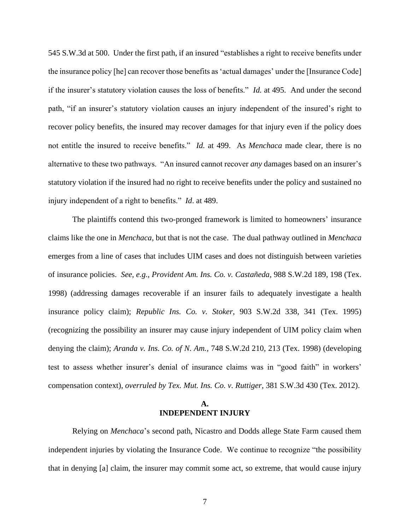545 S.W.3d at 500. Under the first path, if an insured "establishes a right to receive benefits under the insurance policy [he] can recover those benefits as 'actual damages' under the [Insurance Code] if the insurer's statutory violation causes the loss of benefits." *Id.* at 495. And under the second path, "if an insurer's statutory violation causes an injury independent of the insured's right to recover policy benefits, the insured may recover damages for that injury even if the policy does not entitle the insured to receive benefits." *Id.* at 499. As *Menchaca* made clear, there is no alternative to these two pathways. "An insured cannot recover *any* damages based on an insurer's statutory violation if the insured had no right to receive benefits under the policy and sustained no injury independent of a right to benefits." *Id*. at 489.

The plaintiffs contend this two-pronged framework is limited to homeowners' insurance claims like the one in *Menchaca*, but that is not the case. The dual pathway outlined in *Menchaca* emerges from a line of cases that includes UIM cases and does not distinguish between varieties of insurance policies. *See, e.g.*, *Provident Am. Ins. Co. v. Castañeda*, 988 S.W.2d 189, 198 (Tex. 1998) (addressing damages recoverable if an insurer fails to adequately investigate a health insurance policy claim); *Republic Ins. Co. v. Stoker*, 903 S.W.2d 338, 341 (Tex. 1995) (recognizing the possibility an insurer may cause injury independent of UIM policy claim when denying the claim); *Aranda v. Ins. Co. of N. Am.*, 748 S.W.2d 210, 213 (Tex. 1998) (developing test to assess whether insurer's denial of insurance claims was in "good faith" in workers' compensation context), *overruled by Tex. Mut. Ins. Co. v. Ruttiger*, 381 S.W.3d 430 (Tex. 2012).

#### **A. INDEPENDENT INJURY**

Relying on *Menchaca*'s second path, Nicastro and Dodds allege State Farm caused them independent injuries by violating the Insurance Code. We continue to recognize "the possibility that in denying [a] claim, the insurer may commit some act, so extreme, that would cause injury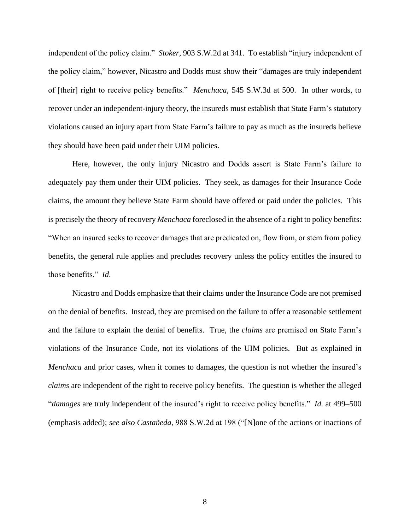independent of the policy claim." *Stoker*, 903 S.W.2d at 341. To establish "injury independent of the policy claim," however, Nicastro and Dodds must show their "damages are truly independent of [their] right to receive policy benefits." *Menchaca*, 545 S.W.3d at 500. In other words, to recover under an independent-injury theory, the insureds must establish that State Farm's statutory violations caused an injury apart from State Farm's failure to pay as much as the insureds believe they should have been paid under their UIM policies.

Here, however, the only injury Nicastro and Dodds assert is State Farm's failure to adequately pay them under their UIM policies. They seek, as damages for their Insurance Code claims, the amount they believe State Farm should have offered or paid under the policies. This is precisely the theory of recovery *Menchaca* foreclosed in the absence of a right to policy benefits: "When an insured seeks to recover damages that are predicated on, flow from, or stem from policy benefits, the general rule applies and precludes recovery unless the policy entitles the insured to those benefits." *Id*.

Nicastro and Dodds emphasize that their claims under the Insurance Code are not premised on the denial of benefits. Instead, they are premised on the failure to offer a reasonable settlement and the failure to explain the denial of benefits. True, the *claims* are premised on State Farm's violations of the Insurance Code, not its violations of the UIM policies. But as explained in *Menchaca* and prior cases, when it comes to damages, the question is not whether the insured's *claims* are independent of the right to receive policy benefits. The question is whether the alleged "*damages* are truly independent of the insured's right to receive policy benefits." *Id.* at 499–500 (emphasis added); *see also Castañeda*, 988 S.W.2d at 198 ("[N]one of the actions or inactions of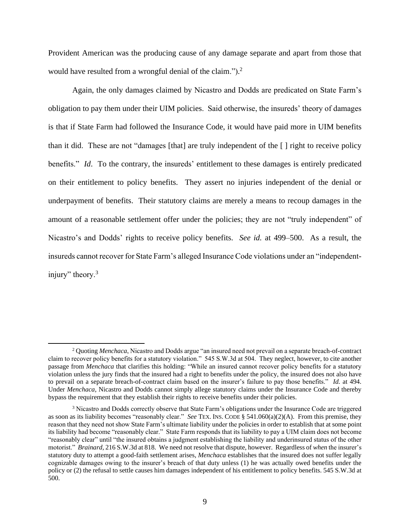Provident American was the producing cause of any damage separate and apart from those that would have resulted from a wrongful denial of the claim.").<sup>2</sup>

Again, the only damages claimed by Nicastro and Dodds are predicated on State Farm's obligation to pay them under their UIM policies. Said otherwise, the insureds' theory of damages is that if State Farm had followed the Insurance Code, it would have paid more in UIM benefits than it did. These are not "damages [that] are truly independent of the [ ] right to receive policy benefits." *Id*. To the contrary, the insureds' entitlement to these damages is entirely predicated on their entitlement to policy benefits. They assert no injuries independent of the denial or underpayment of benefits. Their statutory claims are merely a means to recoup damages in the amount of a reasonable settlement offer under the policies; they are not "truly independent" of Nicastro's and Dodds' rights to receive policy benefits. *See id.* at 499–500. As a result, the insureds cannot recover for State Farm's alleged Insurance Code violations under an "independentinjury" theory.<sup>3</sup>

<sup>2</sup> Quoting *Menchaca*, Nicastro and Dodds argue "an insured need not prevail on a separate breach-of-contract claim to recover policy benefits for a statutory violation." 545 S.W.3d at 504. They neglect, however, to cite another passage from *Menchaca* that clarifies this holding: "While an insured cannot recover policy benefits for a statutory violation unless the jury finds that the insured had a right to benefits under the policy, the insured does not also have to prevail on a separate breach-of-contract claim based on the insurer's failure to pay those benefits." *Id.* at 494. Under *Menchaca*, Nicastro and Dodds cannot simply allege statutory claims under the Insurance Code and thereby bypass the requirement that they establish their rights to receive benefits under their policies.

<sup>&</sup>lt;sup>3</sup> Nicastro and Dodds correctly observe that State Farm's obligations under the Insurance Code are triggered as soon as its liability becomes "reasonably clear." *See* TEX. INS. CODE § 541.060(a)(2)(A). From this premise, they reason that they need not show State Farm's ultimate liability under the policies in order to establish that at some point its liability had become "reasonably clear." State Farm responds that its liability to pay a UIM claim does not become "reasonably clear" until "the insured obtains a judgment establishing the liability and underinsured status of the other motorist." *Brainard*, 216 S.W.3d at 818. We need not resolve that dispute, however. Regardless of *when* the insurer's statutory duty to attempt a good-faith settlement arises, *Menchaca* establishes that the insured does not suffer legally cognizable damages owing to the insurer's breach of that duty unless (1) he was actually owed benefits under the policy or (2) the refusal to settle causes him damages independent of his entitlement to policy benefits. 545 S.W.3d at 500.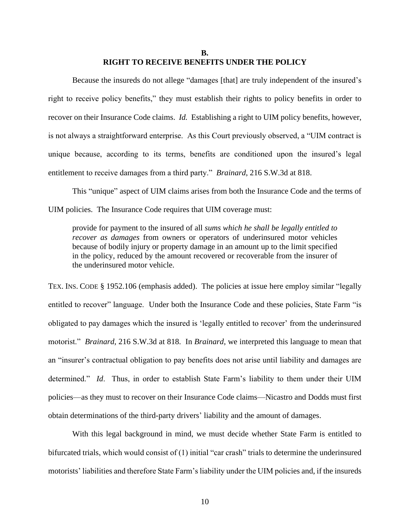#### **B. RIGHT TO RECEIVE BENEFITS UNDER THE POLICY**

Because the insureds do not allege "damages [that] are truly independent of the insured's right to receive policy benefits," they must establish their rights to policy benefits in order to recover on their Insurance Code claims. *Id.* Establishing a right to UIM policy benefits, however, is not always a straightforward enterprise. As this Court previously observed, a "UIM contract is unique because, according to its terms, benefits are conditioned upon the insured's legal entitlement to receive damages from a third party." *Brainard*, 216 S.W.3d at 818.

This "unique" aspect of UIM claims arises from both the Insurance Code and the terms of UIM policies. The Insurance Code requires that UIM coverage must:

provide for payment to the insured of all *sums which he shall be legally entitled to recover as damages* from owners or operators of underinsured motor vehicles because of bodily injury or property damage in an amount up to the limit specified in the policy, reduced by the amount recovered or recoverable from the insurer of the underinsured motor vehicle.

TEX. INS. CODE § 1952.106 (emphasis added). The policies at issue here employ similar "legally entitled to recover" language. Under both the Insurance Code and these policies, State Farm "is obligated to pay damages which the insured is 'legally entitled to recover' from the underinsured motorist." *Brainard*, 216 S.W.3d at 818. In *Brainard*, we interpreted this language to mean that an "insurer's contractual obligation to pay benefits does not arise until liability and damages are determined." *Id*. Thus, in order to establish State Farm's liability to them under their UIM policies—as they must to recover on their Insurance Code claims—Nicastro and Dodds must first obtain determinations of the third-party drivers' liability and the amount of damages.

With this legal background in mind, we must decide whether State Farm is entitled to bifurcated trials, which would consist of (1) initial "car crash" trials to determine the underinsured motorists' liabilities and therefore State Farm's liability under the UIM policies and, if the insureds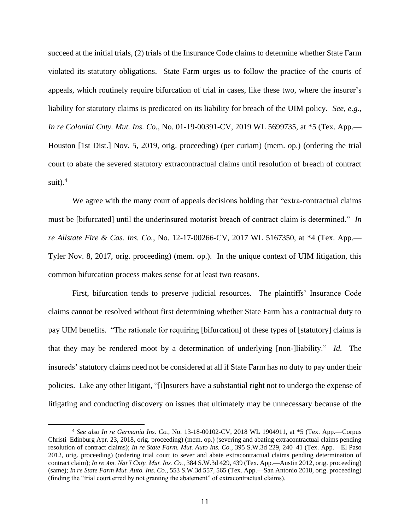succeed at the initial trials, (2) trials of the Insurance Code claims to determine whether State Farm violated its statutory obligations. State Farm urges us to follow the practice of the courts of appeals, which routinely require bifurcation of trial in cases, like these two, where the insurer's liability for statutory claims is predicated on its liability for breach of the UIM policy. *See, e.g.*, *In re Colonial Cnty. Mut. Ins. Co.*, No. 01-19-00391-CV, 2019 WL 5699735, at \*5 (Tex. App.— Houston [1st Dist.] Nov. 5, 2019, orig. proceeding) (per curiam) (mem. op.) (ordering the trial court to abate the severed statutory extracontractual claims until resolution of breach of contract suit). $4$ 

We agree with the many court of appeals decisions holding that "extra-contractual claims" must be [bifurcated] until the underinsured motorist breach of contract claim is determined." *In re Allstate Fire & Cas. Ins. Co.*, No. 12-17-00266-CV, 2017 WL 5167350, at \*4 (Tex. App.— Tyler Nov. 8, 2017, orig. proceeding) (mem. op.). In the unique context of UIM litigation, this common bifurcation process makes sense for at least two reasons.

First, bifurcation tends to preserve judicial resources. The plaintiffs' Insurance Code claims cannot be resolved without first determining whether State Farm has a contractual duty to pay UIM benefits. "The rationale for requiring [bifurcation] of these types of [statutory] claims is that they may be rendered moot by a determination of underlying [non-]liability." *Id.* The insureds' statutory claims need not be considered at all if State Farm has no duty to pay under their policies. Like any other litigant, "[i]nsurers have a substantial right not to undergo the expense of litigating and conducting discovery on issues that ultimately may be unnecessary because of the

<sup>4</sup> *See also In re Germania Ins. Co.*, No. 13-18-00102-CV, 2018 WL 1904911, at \*5 (Tex. App.—Corpus Christi–Edinburg Apr. 23, 2018, orig. proceeding) (mem. op.) (severing and abating extracontractual claims pending resolution of contract claims); *In re State Farm. Mut. Auto Ins. Co.*, 395 S.W.3d 229, 240–41 (Tex. App.—El Paso 2012, orig. proceeding) (ordering trial court to sever and abate extracontractual claims pending determination of contract claim); *In re Am. Nat'l Cnty. Mut. Ins. Co.*, 384 S.W.3d 429, 439 (Tex. App.—Austin 2012, orig. proceeding) (same); *In re State Farm Mut. Auto. Ins. Co.*, 553 S.W.3d 557, 565 (Tex. App.—San Antonio 2018, orig. proceeding) (finding the "trial court erred by not granting the abatement" of extracontractual claims).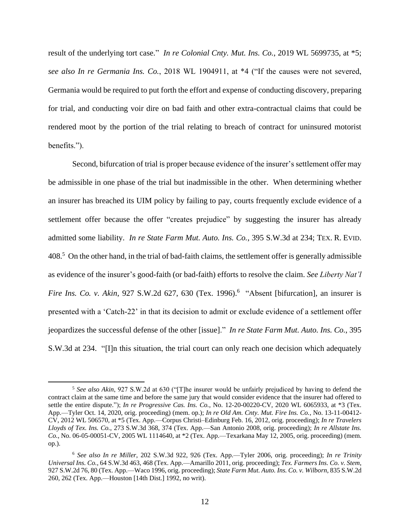result of the underlying tort case." *In re Colonial Cnty. Mut. Ins. Co.*, 2019 WL 5699735, at \*5; *see also In re Germania Ins. Co.*, 2018 WL 1904911, at \*4 ("If the causes were not severed, Germania would be required to put forth the effort and expense of conducting discovery, preparing for trial, and conducting voir dire on bad faith and other extra-contractual claims that could be rendered moot by the portion of the trial relating to breach of contract for uninsured motorist benefits.").

Second, bifurcation of trial is proper because evidence of the insurer's settlement offer may be admissible in one phase of the trial but inadmissible in the other. When determining whether an insurer has breached its UIM policy by failing to pay, courts frequently exclude evidence of a settlement offer because the offer "creates prejudice" by suggesting the insurer has already admitted some liability. *In re State Farm Mut. Auto. Ins. Co.*, 395 S.W.3d at 234; TEX. R. EVID. 408.<sup>5</sup> On the other hand, in the trial of bad-faith claims, the settlement offer is generally admissible as evidence of the insurer's good-faith (or bad-faith) efforts to resolve the claim. *See Liberty Nat'l Fire Ins. Co. v. Akin*, 927 S.W.2d 627, 630 (Tex. 1996). 6 "Absent [bifurcation], an insurer is presented with a 'Catch-22' in that its decision to admit or exclude evidence of a settlement offer jeopardizes the successful defense of the other [issue]." *In re State Farm Mut. Auto. Ins. Co.*, 395 S.W.3d at 234. "[I]n this situation, the trial court can only reach one decision which adequately

<sup>5</sup> *See also Akin*, 927 S.W.2d at 630 ("[T]he insurer would be unfairly prejudiced by having to defend the contract claim at the same time and before the same jury that would consider evidence that the insurer had offered to settle the entire dispute."); *In re Progressive Cas. Ins. Co.*, No. 12-20-00220-CV, 2020 WL 6065933, at \*3 (Tex. App.—Tyler Oct. 14, 2020, orig. proceeding) (mem. op.); *In re Old Am. Cnty. Mut. Fire Ins. Co.*, No. 13-11-00412- CV, 2012 WL 506570, at \*5 (Tex. App.—Corpus Christi–Edinburg Feb. 16, 2012, orig. proceeding); *In re Travelers Lloyds of Tex. Ins. Co.*, 273 S.W.3d 368, 374 (Tex. App.—San Antonio 2008, orig. proceeding); *In re Allstate Ins. Co.*, No. 06-05-00051-CV, 2005 WL 1114640, at \*2 (Tex. App.—Texarkana May 12, 2005, orig. proceeding) (mem. op.).

<sup>6</sup> *See also In re Miller*, 202 S.W.3d 922, 926 (Tex. App.—Tyler 2006, orig. proceeding); *In re Trinity Universal Ins. Co.*, 64 S.W.3d 463, 468 (Tex. App.—Amarillo 2011, orig. proceeding); *Tex. Farmers Ins. Co. v. Stem*, 927 S.W.2d 76, 80 (Tex. App.—Waco 1996, orig. proceeding); *State Farm Mut. Auto. Ins. Co. v. Wilborn*, 835 S.W.2d 260, 262 (Tex. App.—Houston [14th Dist.] 1992, no writ).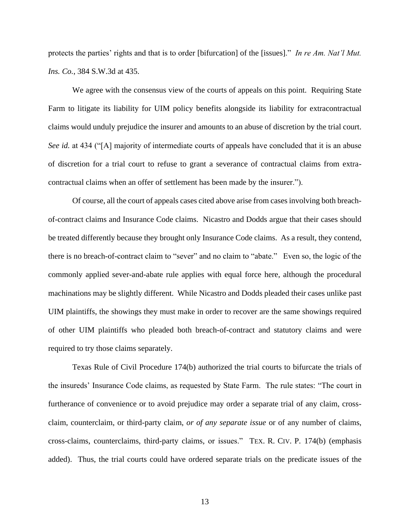protects the parties' rights and that is to order [bifurcation] of the [issues]." *In re Am. Nat'l Mut. Ins. Co.*, 384 S.W.3d at 435.

We agree with the consensus view of the courts of appeals on this point. Requiring State Farm to litigate its liability for UIM policy benefits alongside its liability for extracontractual claims would unduly prejudice the insurer and amounts to an abuse of discretion by the trial court. *See id.* at 434 ("[A] majority of intermediate courts of appeals have concluded that it is an abuse of discretion for a trial court to refuse to grant a severance of contractual claims from extracontractual claims when an offer of settlement has been made by the insurer.").

Of course, all the court of appeals cases cited above arise from cases involving both breachof-contract claims and Insurance Code claims. Nicastro and Dodds argue that their cases should be treated differently because they brought only Insurance Code claims. As a result, they contend, there is no breach-of-contract claim to "sever" and no claim to "abate." Even so, the logic of the commonly applied sever-and-abate rule applies with equal force here, although the procedural machinations may be slightly different. While Nicastro and Dodds pleaded their cases unlike past UIM plaintiffs, the showings they must make in order to recover are the same showings required of other UIM plaintiffs who pleaded both breach-of-contract and statutory claims and were required to try those claims separately.

Texas Rule of Civil Procedure 174(b) authorized the trial courts to bifurcate the trials of the insureds' Insurance Code claims, as requested by State Farm. The rule states: "The court in furtherance of convenience or to avoid prejudice may order a separate trial of any claim, crossclaim, counterclaim, or third-party claim, *or of any separate issue* or of any number of claims, cross-claims, counterclaims, third-party claims, or issues." TEX. R. CIV. P. 174(b) (emphasis added). Thus, the trial courts could have ordered separate trials on the predicate issues of the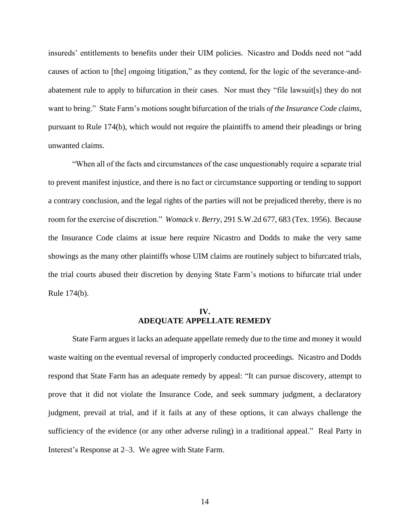insureds' entitlements to benefits under their UIM policies. Nicastro and Dodds need not "add causes of action to [the] ongoing litigation," as they contend, for the logic of the severance-andabatement rule to apply to bifurcation in their cases. Nor must they "file lawsuit[s] they do not want to bring." State Farm's motions sought bifurcation of the trials *of the Insurance Code claims*, pursuant to Rule 174(b), which would not require the plaintiffs to amend their pleadings or bring unwanted claims.

"When all of the facts and circumstances of the case unquestionably require a separate trial to prevent manifest injustice, and there is no fact or circumstance supporting or tending to support a contrary conclusion, and the legal rights of the parties will not be prejudiced thereby, there is no room for the exercise of discretion." *Womack v. Berry*, 291 S.W.2d 677, 683 (Tex. 1956). Because the Insurance Code claims at issue here require Nicastro and Dodds to make the very same showings as the many other plaintiffs whose UIM claims are routinely subject to bifurcated trials, the trial courts abused their discretion by denying State Farm's motions to bifurcate trial under Rule 174(b).

# **IV. ADEQUATE APPELLATE REMEDY**

State Farm argues it lacks an adequate appellate remedy due to the time and money it would waste waiting on the eventual reversal of improperly conducted proceedings. Nicastro and Dodds respond that State Farm has an adequate remedy by appeal: "It can pursue discovery, attempt to prove that it did not violate the Insurance Code, and seek summary judgment, a declaratory judgment, prevail at trial, and if it fails at any of these options, it can always challenge the sufficiency of the evidence (or any other adverse ruling) in a traditional appeal." Real Party in Interest's Response at 2–3. We agree with State Farm.